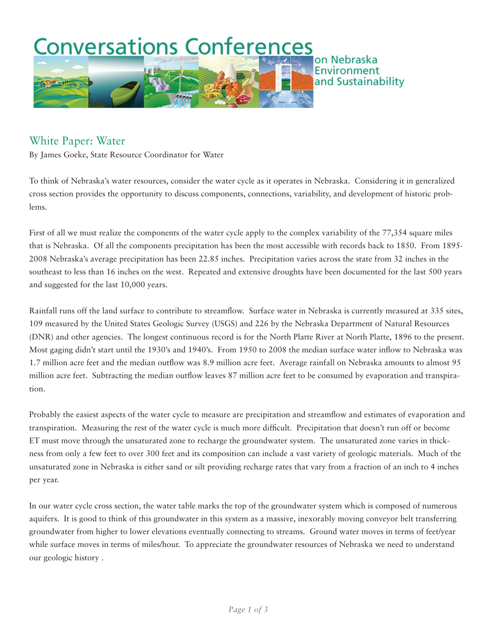

## White Paper: Water

By James Goeke, State Resource Coordinator for Water

To think of Nebraska's water resources, consider the water cycle as it operates in Nebraska. Considering it in generalized cross section provides the opportunity to discuss components, connections, variability, and development of historic problems.

First of all we must realize the components of the water cycle apply to the complex variability of the 77,354 square miles that is Nebraska. Of all the components precipitation has been the most accessible with records back to 1850. From 1895- 2008 Nebraska's average precipitation has been 22.85 inches. Precipitation varies across the state from 32 inches in the southeast to less than 16 inches on the west. Repeated and extensive droughts have been documented for the last 500 years and suggested for the last 10,000 years.

Rainfall runs off the land surface to contribute to streamflow. Surface water in Nebraska is currently measured at 335 sites, 109 measured by the United States Geologic Survey (USGS) and 226 by the Nebraska Department of Natural Resources (DNR) and other agencies. The longest continuous record is for the North Platte River at North Platte, 1896 to the present. Most gaging didn't start until the 1930's and 1940's. From 1950 to 2008 the median surface water inflow to Nebraska was 1.7 million acre feet and the median outflow was 8.9 million acre feet. Average rainfall on Nebraska amounts to almost 95 million acre feet. Subtracting the median outflow leaves 87 million acre feet to be consumed by evaporation and transpiration.

Probably the easiest aspects of the water cycle to measure are precipitation and streamflow and estimates of evaporation and transpiration. Measuring the rest of the water cycle is much more difficult. Precipitation that doesn't run off or become ET must move through the unsaturated zone to recharge the groundwater system. The unsaturated zone varies in thickness from only a few feet to over 300 feet and its composition can include a vast variety of geologic materials. Much of the unsaturated zone in Nebraska is either sand or silt providing recharge rates that vary from a fraction of an inch to 4 inches per year.

In our water cycle cross section, the water table marks the top of the groundwater system which is composed of numerous aquifers. It is good to think of this groundwater in this system as a massive, inexorably moving conveyor belt transferring groundwater from higher to lower elevations eventually connecting to streams. Ground water moves in terms of feet/year while surface moves in terms of miles/hour. To appreciate the groundwater resources of Nebraska we need to understand our geologic history .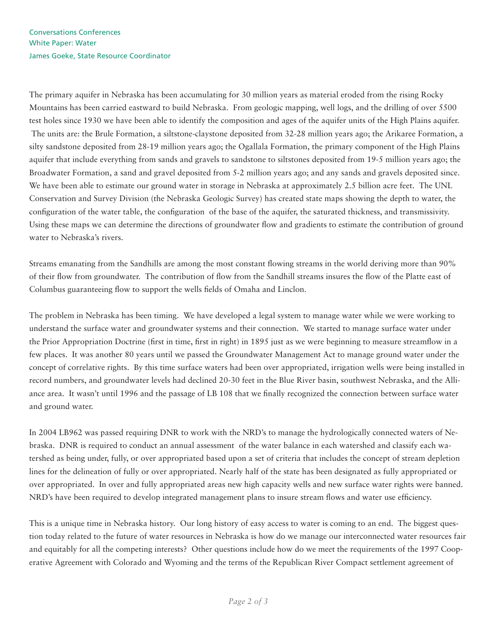The primary aquifer in Nebraska has been accumulating for 30 million years as material eroded from the rising Rocky Mountains has been carried eastward to build Nebraska. From geologic mapping, well logs, and the drilling of over 5500 test holes since 1930 we have been able to identify the composition and ages of the aquifer units of the High Plains aquifer. The units are: the Brule Formation, a siltstone-claystone deposited from 32-28 million years ago; the Arikaree Formation, a silty sandstone deposited from 28-19 million years ago; the Ogallala Formation, the primary component of the High Plains aquifer that include everything from sands and gravels to sandstone to siltstones deposited from 19-5 million years ago; the Broadwater Formation, a sand and gravel deposited from 5-2 million years ago; and any sands and gravels deposited since. We have been able to estimate our ground water in storage in Nebraska at approximately 2.5 billion acre feet. The UNL Conservation and Survey Division (the Nebraska Geologic Survey) has created state maps showing the depth to water, the configuration of the water table, the configuration of the base of the aquifer, the saturated thickness, and transmissivity. Using these maps we can determine the directions of groundwater flow and gradients to estimate the contribution of ground water to Nebraska's rivers.

Streams emanating from the Sandhills are among the most constant flowing streams in the world deriving more than 90% of their flow from groundwater. The contribution of flow from the Sandhill streams insures the flow of the Platte east of Columbus guaranteeing flow to support the wells fields of Omaha and Linclon.

The problem in Nebraska has been timing. We have developed a legal system to manage water while we were working to understand the surface water and groundwater systems and their connection. We started to manage surface water under the Prior Appropriation Doctrine (first in time, first in right) in 1895 just as we were beginning to measure streamflow in a few places. It was another 80 years until we passed the Groundwater Management Act to manage ground water under the concept of correlative rights. By this time surface waters had been over appropriated, irrigation wells were being installed in record numbers, and groundwater levels had declined 20-30 feet in the Blue River basin, southwest Nebraska, and the Alliance area. It wasn't until 1996 and the passage of LB 108 that we finally recognized the connection between surface water and ground water.

In 2004 LB962 was passed requiring DNR to work with the NRD's to manage the hydrologically connected waters of Nebraska. DNR is required to conduct an annual assessment of the water balance in each watershed and classify each watershed as being under, fully, or over appropriated based upon a set of criteria that includes the concept of stream depletion lines for the delineation of fully or over appropriated. Nearly half of the state has been designated as fully appropriated or over appropriated. In over and fully appropriated areas new high capacity wells and new surface water rights were banned. NRD's have been required to develop integrated management plans to insure stream flows and water use efficiency.

This is a unique time in Nebraska history. Our long history of easy access to water is coming to an end. The biggest question today related to the future of water resources in Nebraska is how do we manage our interconnected water resources fair and equitably for all the competing interests? Other questions include how do we meet the requirements of the 1997 Cooperative Agreement with Colorado and Wyoming and the terms of the Republican River Compact settlement agreement of